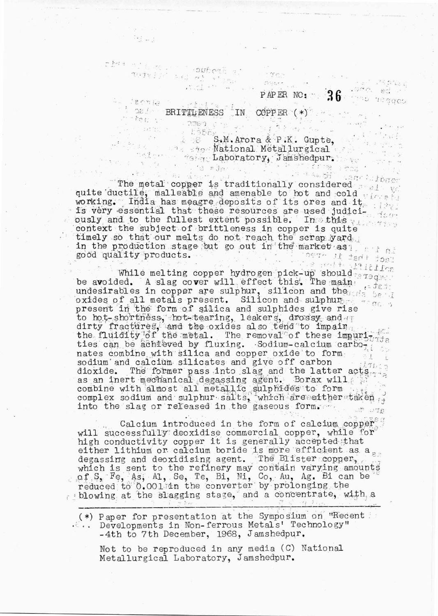## PAPER NO: 36 PAPER NO

 $\frac{1}{2}$  2018  $\frac{1}{2}$  1.  $\frac{1}{2}$  1.  $\frac{1}{2}$ 

 $\frac{1}{2}$   $\frac{1}{2}$   $\frac{1}{2}$ 

that will me is a coubois a.

superson and the stage

Company of the COPPER (\*)<br>
Company of the COPPER (\*)<br>
Company of the Copper S. M. Arora & P.K. Gupte,<br>
Company of the Mational Metallurgical<br>
Company Jamshedpure (\*)<br>
Company of the S. M. Arora & P.K. Gupte,<br>
Company of th working. India has meagre deposits of its ores and it. is very essential that these resources are used judicibusly and to the fullest extent possible. In this year context the subject of brittleness in copper is quite timely so that our melts do not reach the scrap yard Each that it isn't you will go to good quality products.

While melting copper hydrogen pick-up should require undesirables in copper are sulphur, silicon and the data beat oxides of all metals present. Silicon and sulphure present in the form of silica and sulphides give rise to hot-shortness, hot-tearing, leakers, drossy and I dirty fractures, and the oxides also tend to impain. ties can be achieved by fluxing. Sodium-calcium carbo<sub>7, 1</sub> nates combine with silica and copper oxide to form sodium and calcium silicates and give off carbon dioxide. The former pass into slag and the latter acts as an inert mechanical degassing agent. Borax will also combine with almost all metallic sulphides to form complex sodium and sulphur salts, which are either taken into the slag or released in the gaseous form. as an inert mechanical degassing agent. Borax will

Calcium introduced in the form of calcium copper will successfully deoxidise commercial copper, while for high conductivity copper it is generally accepted that either lithium or calcium boride is more efficient as a<br>degassing and deoxidising agent. The Blister copper,<br>which is sent to the refinery may contain varying amounts<br>of S, Fe, As, Al, Se, Te, Bi, Mi, Co, Au, Ag. Bi can be blowing at the slagging stage, and a concentrate, with a

(\*) Paper for presentation at the Symposium on "Recent !! .... Developments in Non-ferrous Metals' Technology" -4th to 7th December, 1968, Jamshedpur.

Not to be reproduced in any media (C) National Metallurgical Laboratory, Jamshedpur.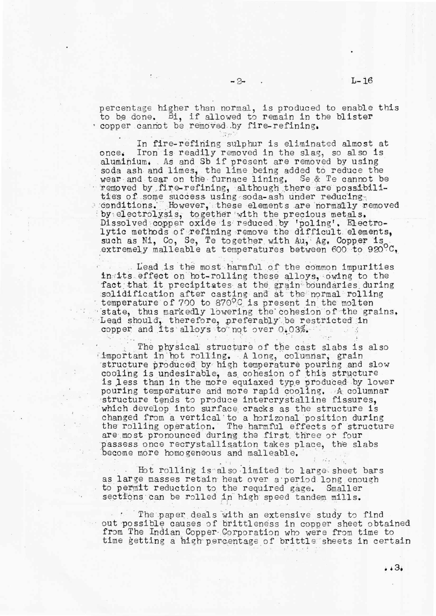## $-2$ - L-16

percentage higher than normal, is produced to enable this to be done. Bi, if allowed to remain in the blister opper cannot be removed by fire-refining.

In fire-refining sulphur is eliminated almost at once. Iron is readily removed in the slag, so also is aluminium. AS and Sb if present are removed by using soda ash and limes, the lime being added to reduce the wear-and tear on the. furnace lining. Se & Te cannot be removed by fire-refining, although there are possibilities of some success using soda-ash under reducing : conditions. However, these elements are normally removed by electrolysis, together with the precious metals. Dissolved:copper oxide is reduced by 'poling'. Electrolytic methods of refining remove the difficult elements, such as Ni, Co, Se, Te together with Au, Ag. Copper is extremely malleable at temperatures between 600 to 920°C.

Lead is the most harmful of the common impurities in its effect on hot-rolling these alloys, owing to the fact that it precipitates at the grain-boundaries during solidification after casting and at the normal rolling temperature of 700 to 870 $^{\circ}$ C is present in the molten state, thus markedly lowering the cohesion of the grains.  $L$ ead should, therefore, preferably be restricted in copper and its alloys to not over 0.03%.

The physical structure of the cast slabs is also important in hot rolling. A long, columnar, grain structure produced by high temperature pouring and slow cooling is undesirable, as cohesion of this structure is .less than in the more equiaxed type produced by lower pouring temperature and more rapid cooling. A columnar structure tends to produce intercrystalline fissures, which develop into surface cracks as the structure is changed from a vertical' to a horizonal position during the rolling. operation. The harmful effects of structure are most pronounced during the first. three or four passess once recrystallisation takes place, the slabs become more homogeneous and malleable.

Hot rolling is also limited to large sheet bars as large masses retain heat over a period long enough to permit reduction to the required gage. Smaller sections can be rolled in high speed tandem mills.

The paper deals with an extensive study to find out possible causes of brittleness in copper sheet obtained from The Indian.Copper- Corporation who were from time to time getting a high percentage of brittle sheets in certain